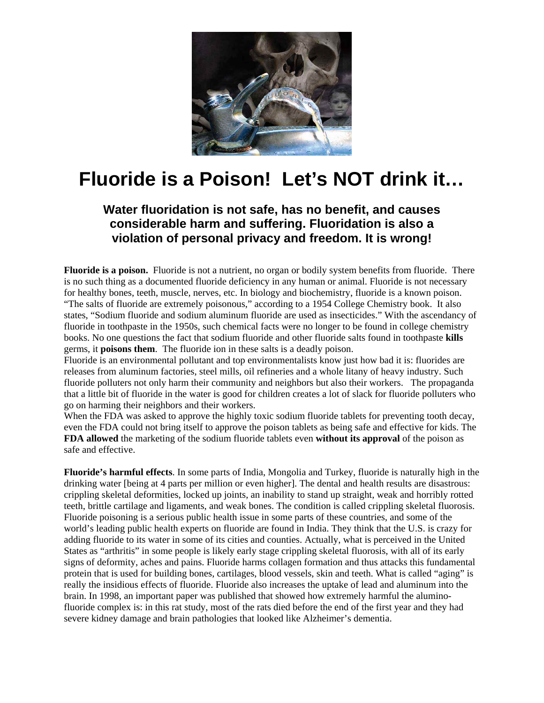

## **Fluoride is a Poison! Let's NOT drink it…**

## **Water fluoridation is not safe, has no benefit, and causes considerable harm and suffering. Fluoridation is also a violation of personal privacy and freedom. It is wrong!**

**Fluoride is a poison.** Fluoride is not a nutrient, no organ or bodily system benefits from fluoride. There is no such thing as a documented fluoride deficiency in any human or animal. Fluoride is not necessary for healthy bones, teeth, muscle, nerves, etc. In biology and biochemistry, fluoride is a known poison. "The salts of fluoride are extremely poisonous," according to a 1954 College Chemistry book. It also states, "Sodium fluoride and sodium aluminum fluoride are used as insecticides." With the ascendancy of fluoride in toothpaste in the 1950s, such chemical facts were no longer to be found in college chemistry books. No one questions the fact that sodium fluoride and other fluoride salts found in toothpaste **kills**  germs, it **poisons them**. The fluoride ion in these salts is a deadly poison.

Fluoride is an environmental pollutant and top environmentalists know just how bad it is: fluorides are releases from aluminum factories, steel mills, oil refineries and a whole litany of heavy industry. Such fluoride polluters not only harm their community and neighbors but also their workers. The propaganda that a little bit of fluoride in the water is good for children creates a lot of slack for fluoride polluters who go on harming their neighbors and their workers.

When the FDA was asked to approve the highly toxic sodium fluoride tablets for preventing tooth decay, even the FDA could not bring itself to approve the poison tablets as being safe and effective for kids. The **FDA allowed** the marketing of the sodium fluoride tablets even **without its approval** of the poison as safe and effective.

**Fluoride's harmful effects**. In some parts of India, Mongolia and Turkey, fluoride is naturally high in the drinking water [being at 4 parts per million or even higher]. The dental and health results are disastrous: crippling skeletal deformities, locked up joints, an inability to stand up straight, weak and horribly rotted teeth, brittle cartilage and ligaments, and weak bones. The condition is called crippling skeletal fluorosis. Fluoride poisoning is a serious public health issue in some parts of these countries, and some of the world's leading public health experts on fluoride are found in India. They think that the U.S. is crazy for adding fluoride to its water in some of its cities and counties. Actually, what is perceived in the United States as "arthritis" in some people is likely early stage crippling skeletal fluorosis, with all of its early signs of deformity, aches and pains. Fluoride harms collagen formation and thus attacks this fundamental protein that is used for building bones, cartilages, blood vessels, skin and teeth. What is called "aging" is really the insidious effects of fluoride. Fluoride also increases the uptake of lead and aluminum into the brain. In 1998, an important paper was published that showed how extremely harmful the aluminofluoride complex is: in this rat study, most of the rats died before the end of the first year and they had severe kidney damage and brain pathologies that looked like Alzheimer's dementia.